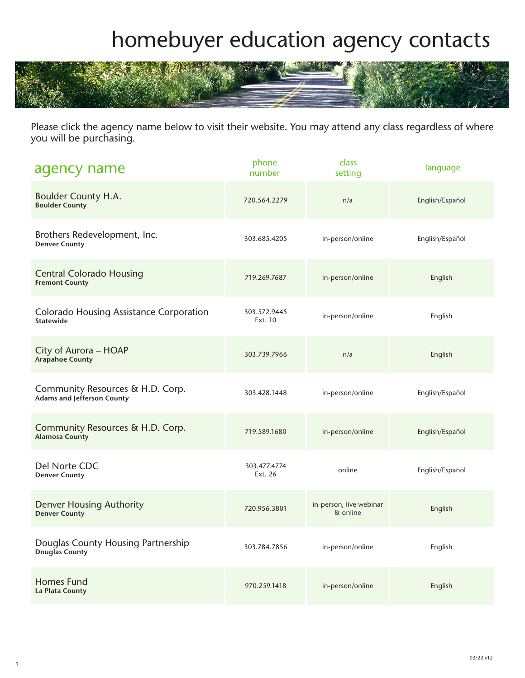## homebuyer education agency contacts



Please click the agency name below to visit their website. You may attend any class regardless of where you will be purchasing.

| agency name                                                           | phone<br>number         | class<br>setting                    | language        |
|-----------------------------------------------------------------------|-------------------------|-------------------------------------|-----------------|
| <b>Boulder County H.A.</b><br><b>Boulder County</b>                   | 720.564.2279            | n/a                                 | English/Español |
| Brothers Redevelopment, Inc.<br><b>Denver County</b>                  | 303.685.4205            | in-person/online                    | English/Español |
| <b>Central Colorado Housing</b><br><b>Fremont County</b>              | 719.269.7687            | in-person/online                    | English         |
| <b>Colorado Housing Assistance Corporation</b><br><b>Statewide</b>    | 303.572.9445<br>Ext. 10 | in-person/online                    | English         |
| City of Aurora - HOAP<br><b>Arapahoe County</b>                       | 303.739.7966            | n/a                                 | English         |
| Community Resources & H.D. Corp.<br><b>Adams and Jefferson County</b> | 303.428.1448            | in-person/online                    | English/Español |
| Community Resources & H.D. Corp.<br><b>Alamosa County</b>             | 719.589.1680            | in-person/online                    | English/Español |
| Del Norte CDC<br><b>Denver County</b>                                 | 303.477.4774<br>Ext. 26 | online                              | English/Español |
| <b>Denver Housing Authority</b><br><b>Denver County</b>               | 720.956.3801            | in-person, live webinar<br>& online | English         |
| Douglas County Housing Partnership<br>Douglas County                  | 303.784.7856            | in-person/online                    | English         |
| <b>Homes Fund</b><br>La Plata County                                  | 970.259.1418            | in-person/online                    | English         |